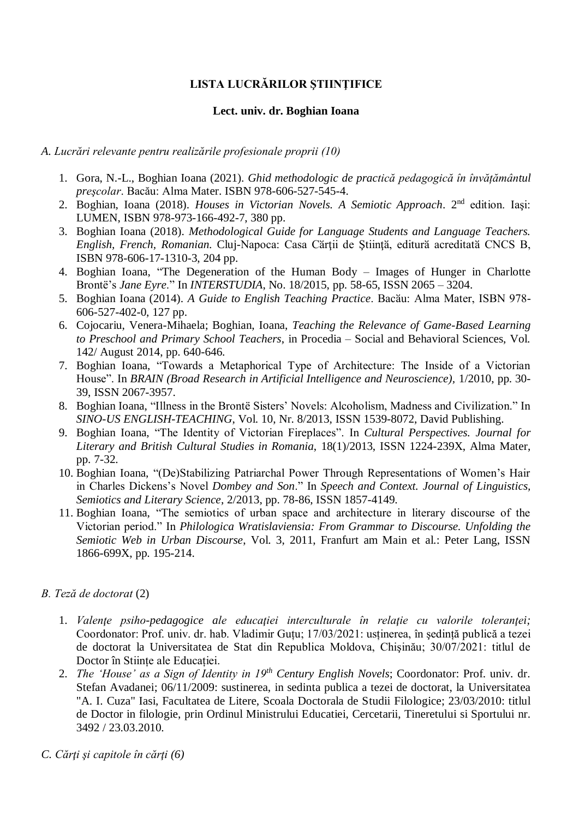# **LISTA LUCRĂRILOR ŞTIINŢIFICE**

#### **Lect. univ. dr. Boghian Ioana**

#### *A. Lucrări relevante pentru realizările profesionale proprii (10)*

- 1. Gora, N.-L., Boghian Ioana (2021). *Ghid methodologic de practică pedagogică în învățământul preşcolar*. Bacău: Alma Mater. ISBN 978-606-527-545-4.
- 2. Boghian, Ioana (2018). *Houses in Victorian Novels. A Semiotic Approach*. 2nd edition. Iaşi: LUMEN, ISBN 978-973-166-492-7, 380 pp.
- 3. Boghian Ioana (2018). *Methodological Guide for Language Students and Language Teachers. English, French, Romanian*. Cluj-Napoca: Casa Cӑrţii de Ştiinţӑ, editurӑ acreditatӑ CNCS B, ISBN 978-606-17-1310-3, 204 pp.
- 4. Boghian Ioana, "The Degeneration of the Human Body Images of Hunger in Charlotte Brontë's *Jane Eyre*." In *INTERSTUDIA*, No. 18/2015, pp. 58-65, ISSN 2065 – 3204.
- 5. Boghian Ioana (2014). *A Guide to English Teaching Practice*. Bacӑu: Alma Mater, ISBN 978- 606-527-402-0, 127 pp.
- 6. Cojocariu, Venera-Mihaela; Boghian, Ioana, *Teaching the Relevance of Game-Based Learning to Preschool and Primary School Teachers*, in Procedia – Social and Behavioral Sciences, Vol. 142/ August 2014, pp. 640-646.
- 7. Boghian Ioana, "Towards a Metaphorical Type of Architecture: The Inside of a Victorian House". In *BRAIN (Broad Research in Artificial Intelligence and Neuroscience),* 1/2010, pp. 30- 39, ISSN 2067-3957.
- 8. Boghian Ioana, "Illness in the Brontë Sisters' Novels: Alcoholism, Madness and Civilization." In *SINO-US ENGLISH-TEACHING*, Vol. 10, Nr. 8/2013, ISSN 1539-8072, David Publishing.
- 9. Boghian Ioana, "The Identity of Victorian Fireplaces". In *Cultural Perspectives. Journal for Literary and British Cultural Studies in Romania*, 18(1)/2013, ISSN 1224-239X, Alma Mater, pp. 7-32.
- 10. Boghian Ioana, "(De)Stabilizing Patriarchal Power Through Representations of Women's Hair in Charles Dickens's Novel *Dombey and Son*." In *Speech and Context. Journal of Linguistics, Semiotics and Literary Science*, 2/2013, pp. 78-86, ISSN 1857-4149.
- 11. Boghian Ioana, "The semiotics of urban space and architecture in literary discourse of the Victorian period." In *Philologica Wratislaviensia: From Grammar to Discourse. Unfolding the Semiotic Web in Urban Discourse*, Vol. 3, 2011, Franfurt am Main et al.: Peter Lang, ISSN 1866-699X, pp. 195-214.

### *B. Teză de doctorat* (2)

- 1. *Valenţe psiho-pedagogice ale educaţiei interculturale în relaţie cu valorile toleranţei;*  Coordonator: Prof. univ. dr. hab. Vladimir Guțu; 17/03/2021: usținerea, în şedință publică a tezei de doctorat la Universitatea de Stat din Republica Moldova, Chişinău; 30/07/2021: titlul de Doctor în Stiințe ale Educației.
- 2. *The 'House' as a Sign of Identity in 19th Century English Novels*; Coordonator: Prof. univ. dr. Stefan Avadanei; 06/11/2009: sustinerea, in sedinta publica a tezei de doctorat, la Universitatea "A. I. Cuza" Iasi, Facultatea de Litere, Scoala Doctorala de Studii Filologice; 23/03/2010: titlul de Doctor in filologie, prin Ordinul Ministrului Educatiei, Cercetarii, Tineretului si Sportului nr. 3492 / 23.03.2010.

*C. Cărţi şi capitole în cărţi (6)*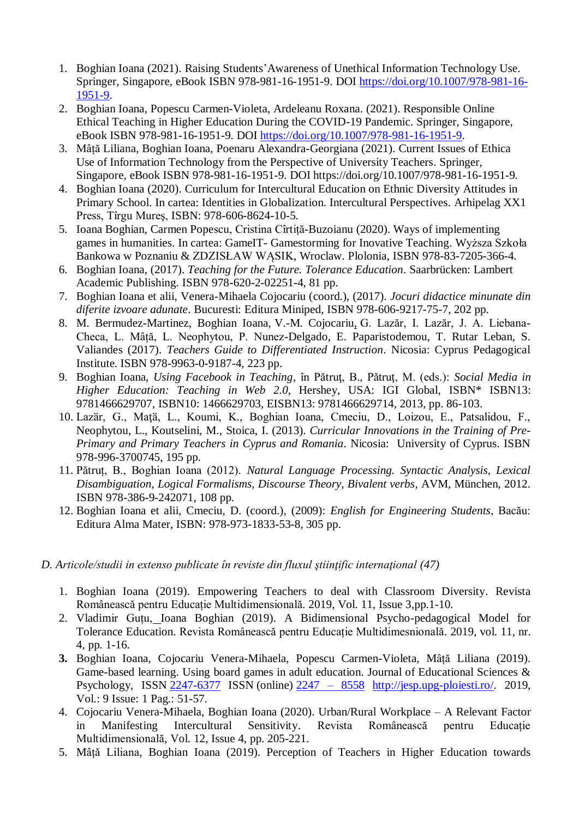- 1. Boghian Ioana (2021). Raising Students'Awareness of Unethical Information Technology Use. Springer, Singapore, eBook ISBN 978-981-16-1951-9. DOI [https://doi.org/10.1007/978-981-16-](https://doi.org/10.1007/978-981-16-1951-9) [1951-9.](https://doi.org/10.1007/978-981-16-1951-9)
- 2. Boghian Ioana, Popescu Carmen-Violeta, Ardeleanu Roxana. (2021). Responsible Online Ethical Teaching in Higher Education During the COVID-19 Pandemic. Springer, Singapore, eBook ISBN 978-981-16-1951-9. DOI [https://doi.org/10.1007/978-981-16-1951-9.](https://doi.org/10.1007/978-981-16-1951-9)
- 3. Mâță Liliana, Boghian Ioana, Poenaru Alexandra-Georgiana (2021). Current Issues of Ethica Use of Information Technology from the Perspective of University Teachers. Springer, Singapore, eBook ISBN 978-981-16-1951-9. DOI https://doi.org/10.1007/978-981-16-1951-9.
- 4. Boghian Ioana (2020). Curriculum for Intercultural Education on Ethnic Diversity Attitudes in Primary School. In cartea: Identities in Globalization. Intercultural Perspectives. Arhipelag XX1 Press, Tîrgu Mureş, ISBN: 978-606-8624-10-5.
- 5. Ioana Boghian, Carmen Popescu, Cristina Cîrtiță-Buzoianu (2020). Ways of implementing games in humanities. In cartea: GameIT- Gamestorming for Inovative Teaching. Wyższa Szkoła Bankowa w Poznaniu & ZDZISŁAW WĄSIK, Wroclaw. Plolonia, ISBN 978-83-7205-366-4.
- 6. Boghian Ioana, (2017). *Teaching for the Future. Tolerance Education*. Saarbrücken: Lambert Academic Publishing. ISBN 978-620-2-02251-4, 81 pp.
- 7. Boghian Ioana et alii, Venera-Mihaela Cojocariu (coord.), (2017). *Jocuri didactice minunate din diferite izvoare adunate*. Bucuresti: Editura Miniped, ISBN 978-606-9217-75-7, 202 pp.
- 8. M. Bermudez-Martinez, Boghian Ioana, V.-M. Cojocariu, G. Lazăr, I. Lazăr, J. A. Liebana-Checa, L. Mâță, L. Neophytou, P. Nunez-Delgado, E. Paparistodemou, T. Rutar Leban, S. Valiandes (2017). *Teachers Guide to Differentiated Instruction*. Nicosia: Cyprus Pedagogical Institute. ISBN 978-9963-0-9187-4, 223 pp.
- 9. Boghian Ioana, *Using Facebook in Teaching*, în Pătruţ, B., Pătruţ, M. (eds.): *Social Media in Higher Education: Teaching in Web 2.0*, Hershey, USA: IGI Global, ISBN\* ISBN13: 9781466629707, ISBN10: 1466629703, EISBN13: 9781466629714, 2013, pp. 86-103.
- 10. Lazӑr, G., Maţӑ, L., Koumi, K., Boghian Ioana, Cmeciu, D., Loizou, E., Patsalidou, F., Neophytou, L., Koutselini, M., Stoica, I. (2013). *[Curricular Innovations in the Training of Pre-](https://www.researchgate.net/publication/260419688_Curricular_Innovations_in_the_Training_of_Pre-Primary_and_Primary_Teachers_in_Cyprus_and_Romania)[Primary and Primary Teachers in Cyprus and Romania](https://www.researchgate.net/publication/260419688_Curricular_Innovations_in_the_Training_of_Pre-Primary_and_Primary_Teachers_in_Cyprus_and_Romania)*. Nicosia: University of Cyprus. ISBN 978-996-3700745, 195 pp.
- 11. Pătruț, B., Boghian Ioana (2012). *Natural Language Processing. Syntactic Analysis, Lexical Disambiguation, Logical Formalisms, Discourse Theory, Bivalent verbs*, AVM, München, 2012. ISBN 978-386-9-242071, 108 pp.
- 12. Boghian Ioana et alii, Cmeciu, D. (coord.), (2009): *English for Engineering Students*, Bacău: Editura Alma Mater, ISBN: 978-973-1833-53-8, 305 pp.

*D. Articole/studii in extenso publicate în reviste din fluxul ştiinţific internaţional (47)*

- 1. Boghian Ioana (2019). Empowering Teachers to deal with Classroom Diversity. Revista Românească pentru Educație Multidimensională. 2019, Vol. 11, Issue 3,pp.1-10.
- 2. Vladimir Guțu, Ioana Boghian (2019). A Bidimensional Psycho-pedagogical Model for Tolerance Education. Revista Românească pentru Educație Multidimesnională. 2019, vol. 11, nr. 4, pp. 1-16.
- **3.** Boghian Ioana, Cojocariu Venera-Mihaela, Popescu Carmen-Violeta, Mâță Liliana (2019). Game-based learning. Using board games in adult education. Journal of Educational Sciences & Psychology, ISSN [2247-6377](http://road.issn.org/issn/2247-8558-journal-of-educational-sciences-psychology-#.WphdHOeYO70) ISSN (online) [2247 –](http://road.issn.org/issn/2247-8558-journal-of-educational-sciences-psychology-#.Wphd1OeYO70) 8558 [http://jesp.upg-ploiesti.ro/.](http://jesp.upg-ploiesti.ro/) 2019, Vol.: 9 Issue: 1 Pag.: 51-57.
- 4. Cojocariu Venera-Mihaela, Boghian Ioana (2020). Urban/Rural Workplace A Relevant Factor in Manifesting Intercultural Sensitivity. Revista Românească pentru Educație Multidimensională, Vol. 12, Issue 4, pp. 205-221.
- 5. Mâță Liliana, Boghian Ioana (2019). Perception of Teachers in Higher Education towards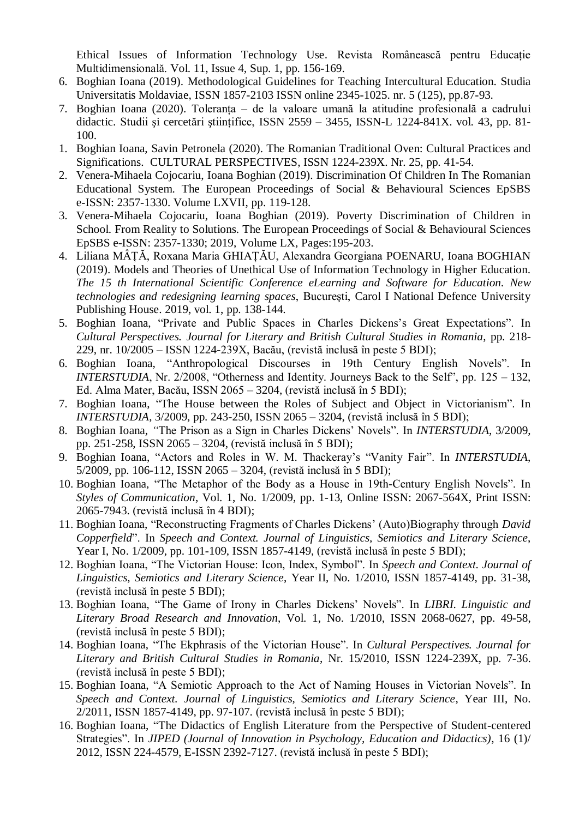Ethical Issues of Information Technology Use. Revista Românească pentru Educație Multidimensională. Vol. 11, Issue 4, Sup. 1, pp. 156-169.

- 6. Boghian Ioana (2019). Methodological Guidelines for Teaching Intercultural Education. Studia Universitatis Moldaviae, ISSN 1857-2103 ISSN online 2345-1025. nr. 5 (125), pp.87-93.
- 7. Boghian Ioana (2020). Toleranța de la valoare umană la atitudine profesională a cadrului didactic. Studii şi cercetări ştiințifice, ISSN 2559 – 3455, ISSN-L 1224-841X. vol. 43, pp. 81- 100.
- 1. Boghian Ioana, Savin Petronela (2020). The Romanian Traditional Oven: Cultural Practices and Significations. CULTURAL PERSPECTIVES, ISSN 1224-239X. Nr. 25, pp. 41-54.
- 2. Venera-Mihaela Cojocariu, Ioana Boghian (2019). Discrimination Of Children In The Romanian Educational System. The European Proceedings of Social & Behavioural Sciences EpSBS e-ISSN: 2357-1330. Volume LXVII, pp. 119-128.
- 3. Venera-Mihaela Cojocariu, Ioana Boghian (2019). Poverty Discrimination of Children in School. From Reality to Solutions. The European Proceedings of Social & Behavioural Sciences EpSBS e-ISSN: 2357-1330; 2019, Volume LX, Pages:195-203.
- 4. Liliana MÂȚĂ, Roxana Maria GHIAȚĂU, Alexandra Georgiana POENARU, Ioana BOGHIAN (2019). Models and Theories of Unethical Use of Information Technology in Higher Education. *The 15 th International Scientific Conference eLearning and Software for Education. New technologies and redesigning learning spaces*, Bucureşti, Carol I National Defence University Publishing House. 2019, vol. 1, pp. 138-144.
- 5. Boghian Ioana, "Private and Public Spaces in Charles Dickens's Great Expectations". In *Cultural Perspectives. Journal for Literary and British Cultural Studies in Romania*, pp. 218- 229, nr. 10/2005 – ISSN 1224-239X, Bacău, (revistă inclusă în peste 5 BDI);
- 6. Boghian Ioana, "Anthropological Discourses in 19th Century English Novels". In *INTERSTUDIA*, Nr. 2/2008, "Otherness and Identity. Journeys Back to the Self", pp. 125 – 132, Ed. Alma Mater, Bacău, ISSN 2065 – 3204, (revistă inclusă în 5 BDI);
- 7. Boghian Ioana, "The House between the Roles of Subject and Object in Victorianism". In *INTERSTUDIA*, 3/2009, pp. 243-250, ISSN 2065 – 3204, (revistă inclusă în 5 BDI);
- 8. Boghian Ioana, *"*The Prison as a Sign in Charles Dickens' Novels". In *INTERSTUDIA*, 3/2009, pp. 251-258, ISSN 2065 – 3204, (revistă inclusă în 5 BDI);
- 9. Boghian Ioana, "Actors and Roles in W. M. Thackeray's "Vanity Fair". In *INTERSTUDIA*, 5/2009, pp. 106-112, ISSN 2065 – 3204, (revistă inclusă în 5 BDI);
- 10. Boghian Ioana, "The Metaphor of the Body as a House in 19th-Century English Novels". In *Styles of Communication*, Vol. 1, No. 1/2009, pp. 1-13, Online ISSN: 2067-564X, Print ISSN: 2065-7943. (revistă inclusă în 4 BDI);
- 11. Boghian Ioana, "Reconstructing Fragments of Charles Dickens' (Auto)Biography through *David Copperfield*". In *Speech and Context. Journal of Linguistics, Semiotics and Literary Science*, Year I, No. 1/2009, pp. 101-109, ISSN 1857-4149, (revistă inclusă în peste 5 BDI);
- 12. Boghian Ioana, "The Victorian House: Icon, Index, Symbol". In *Speech and Context. Journal of Linguistics, Semiotics and Literary Science*, Year II, No. 1/2010, ISSN 1857-4149, pp. 31-38, (revistă inclusă în peste 5 BDI);
- 13. Boghian Ioana, "The Game of Irony in Charles Dickens' Novels". In *LIBRI. Linguistic and Literary Broad Research and Innovation*, Vol. 1, No. 1/2010, ISSN 2068-0627, pp. 49-58, (revistă inclusă în peste 5 BDI);
- 14. Boghian Ioana, "The Ekphrasis of the Victorian House". In *Cultural Perspectives. Journal for Literary and British Cultural Studies in Romania*, Nr. 15/2010, ISSN 1224-239X, pp. 7-36. (revistă inclusă în peste 5 BDI);
- 15. Boghian Ioana, "A Semiotic Approach to the Act of Naming Houses in Victorian Novels". In *Speech and Context. Journal of Linguistics, Semiotics and Literary Science*, Year III, No. 2/2011, ISSN 1857-4149, pp. 97-107. (revistă inclusă în peste 5 BDI);
- 16. Boghian Ioana, "The Didactics of English Literature from the Perspective of Student-centered Strategies". In *JIPED (Journal of Innovation in Psychology, Education and Didactics)*, 16 (1)/ 2012, ISSN 224-4579, E-ISSN 2392-7127. (revistă inclusă în peste 5 BDI);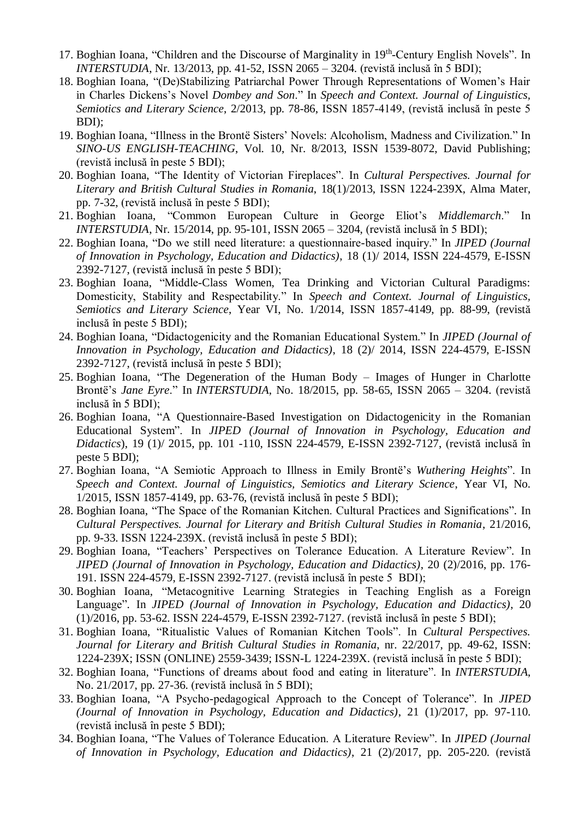- 17. Boghian Ioana, "Children and the Discourse of Marginality in 19<sup>th</sup>-Century English Novels". In *INTERSTUDIA*, Nr. 13/2013, pp. 41-52, ISSN 2065 – 3204. (revistă inclusă în 5 BDI);
- 18. Boghian Ioana, "(De)Stabilizing Patriarchal Power Through Representations of Women's Hair in Charles Dickens's Novel *Dombey and Son*." In *Speech and Context. Journal of Linguistics, Semiotics and Literary Science*, 2/2013, pp. 78-86, ISSN 1857-4149, (revistă inclusă în peste 5 BDI);
- 19. Boghian Ioana, "Illness in the Brontë Sisters' Novels: Alcoholism, Madness and Civilization." In *SINO-US ENGLISH-TEACHING*, Vol. 10, Nr. 8/2013, ISSN 1539-8072, David Publishing; (revistă inclusă în peste 5 BDI);
- 20. Boghian Ioana, "The Identity of Victorian Fireplaces". In *Cultural Perspectives. Journal for Literary and British Cultural Studies in Romania*, 18(1)/2013, ISSN 1224-239X, Alma Mater, pp. 7-32, (revistă inclusă în peste 5 BDI);
- 21. Boghian Ioana, "Common European Culture in George Eliot's *Middlemarch*." In *INTERSTUDIA*, Nr. 15/2014, pp. 95-101, ISSN 2065 – 3204, (revistă inclusă în 5 BDI);
- 22. Boghian Ioana, "Do we still need literature: a questionnaire-based inquiry." In *JIPED (Journal of Innovation in Psychology, Education and Didactics)*, 18 (1)/ 2014, ISSN 224-4579, E-ISSN 2392-7127, (revistă inclusă în peste 5 BDI);
- 23. Boghian Ioana, "Middle-Class Women, Tea Drinking and Victorian Cultural Paradigms: Domesticity, Stability and Respectability." In *Speech and Context. Journal of Linguistics, Semiotics and Literary Science*, Year VI, No. 1/2014, ISSN 1857-4149, pp. 88-99, (revistă inclusă în peste 5 BDI);
- 24. Boghian Ioana, "Didactogenicity and the Romanian Educational System." In *JIPED (Journal of Innovation in Psychology, Education and Didactics)*, 18 (2)/ 2014, ISSN 224-4579, E-ISSN 2392-7127, (revistă inclusă în peste 5 BDI);
- 25. Boghian Ioana, "The Degeneration of the Human Body Images of Hunger in Charlotte Brontë's *Jane Eyre*." In *INTERSTUDIA*, No. 18/2015, pp. 58-65, ISSN 2065 – 3204. (revistă inclusă în 5 BDI);
- 26. Boghian Ioana, "A Questionnaire-Based Investigation on Didactogenicity in the Romanian Educational System". In *JIPED (Journal of Innovation in Psychology, Education and Didactics*), 19 (1)/ 2015, pp. 101 -110, ISSN 224-4579, E-ISSN 2392-7127, (revistă inclusă în peste 5 BDI);
- 27. Boghian Ioana, "A Semiotic Approach to Illness in Emily Brontë's *Wuthering Heights*". In *Speech and Context. Journal of Linguistics, Semiotics and Literary Science*, Year VI, No. 1/2015, ISSN 1857-4149, pp. 63-76, (revistă inclusă în peste 5 BDI);
- 28. Boghian Ioana, "The Space of the Romanian Kitchen. Cultural Practices and Significations"*.* In *Cultural Perspectives. Journal for Literary and British Cultural Studies in Romania*, 21/2016, pp. 9-33. ISSN 1224-239X. (revistă inclusă în peste 5 BDI);
- 29. Boghian Ioana, "Teachers' Perspectives on Tolerance Education. A Literature Review"*.* In *JIPED (Journal of Innovation in Psychology, Education and Didactics)*, 20 (2)/2016, pp. 176- 191. ISSN 224-4579, E-ISSN 2392-7127. (revistă inclusă în peste 5 BDI);
- 30. Boghian Ioana, "Metacognitive Learning Strategies in Teaching English as a Foreign Language"*.* In *JIPED (Journal of Innovation in Psychology, Education and Didactics)*, 20 (1)/2016, pp. 53-62. ISSN 224-4579, E-ISSN 2392-7127. (revistă inclusă în peste 5 BDI);
- 31. Boghian Ioana, "Ritualistic Values of Romanian Kitchen Tools". In *Cultural Perspectives. Journal for Literary and British Cultural Studies in Romania*, nr. 22/2017, pp. 49-62, ISSN: 1224-239X; ISSN (ONLINE) 2559-3439; ISSN-L 1224-239X. (revistă inclusă în peste 5 BDI);
- 32. Boghian Ioana, "Functions of dreams about food and eating in literature". In *INTERSTUDIA*, No. 21/2017, pp. 27-36. (revistă inclusă în 5 BDI);
- 33. Boghian Ioana, "A Psycho-pedagogical Approach to the Concept of Tolerance". In *JIPED (Journal of Innovation in Psychology, Education and Didactics)*, 21 (1)/2017, pp. 97-110. (revistă inclusă în peste 5 BDI);
- 34. Boghian Ioana, "The Values of Tolerance Education. A Literature Review". In *JIPED (Journal of Innovation in Psychology, Education and Didactics)*, 21 (2)/2017, pp. 205-220. (revistă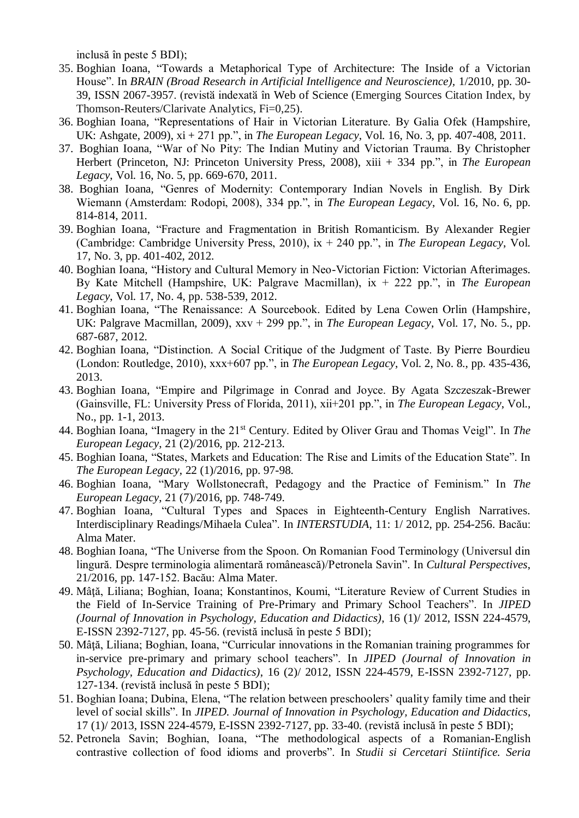inclusă în peste 5 BDI);

- 35. Boghian Ioana, "Towards a Metaphorical Type of Architecture: The Inside of a Victorian House". In *BRAIN (Broad Research in Artificial Intelligence and Neuroscience),* 1/2010, pp. 30- 39, ISSN 2067-3957. (revistӑ indexatӑ în [Web of Science](http://science.thomsonreuters.com/cgi-bin/jrnlst/jlresults.cgi?PC=MASTER&ISSN=2067-3957) (Emerging Sources Citation Index, by Thomson-Reuters/Clarivate Analytics, Fi=0,25).
- 36. Boghian Ioana, "Representations of Hair in Victorian Literature. By Galia Ofek (Hampshire, UK: Ashgate, 2009), xi + 271 pp.", in *The European Legacy*, Vol. 16, No. 3, pp. 407-408, 2011.
- 37. Boghian Ioana, "War of No Pity: The Indian Mutiny and Victorian Trauma. By Christopher Herbert (Princeton, NJ: Princeton University Press, 2008), xiii + 334 pp.", in *The European Legacy*, Vol. 16, No. 5, pp. 669-670, 2011.
- 38. Boghian Ioana, "Genres of Modernity: Contemporary Indian Novels in English. By Dirk Wiemann (Amsterdam: Rodopi, 2008), 334 pp.", in *The European Legacy*, Vol. 16, No. 6, pp. 814-814, 2011.
- 39. Boghian Ioana, "Fracture and Fragmentation in British Romanticism. By Alexander Regier (Cambridge: Cambridge University Press, 2010), ix + 240 pp.", in *The European Legacy*, Vol. 17, No. 3, pp. 401-402, 2012.
- 40. Boghian Ioana, "History and Cultural Memory in Neo-Victorian Fiction: Victorian Afterimages. By Kate Mitchell (Hampshire, UK: Palgrave Macmillan), ix + 222 pp.", in *The European Legacy*, Vol. 17, No. 4, pp. 538-539, 2012.
- 41. Boghian Ioana, "The Renaissance: A Sourcebook. Edited by Lena Cowen Orlin (Hampshire, UK: Palgrave Macmillan, 2009), xxv + 299 pp.", in *The European Legacy*, Vol. 17, No. 5., pp. 687-687, 2012.
- 42. Boghian Ioana, "Distinction. A Social Critique of the Judgment of Taste. By Pierre Bourdieu (London: Routledge, 2010), xxx+607 pp.", in *The European Legacy*, Vol. 2, No. 8., pp. 435-436, 2013.
- 43. Boghian Ioana, "Empire and Pilgrimage in Conrad and Joyce. By Agata Szczeszak-Brewer (Gainsville, FL: University Press of Florida, 2011), xii+201 pp.", in *The European Legacy*, Vol., No., pp. 1-1, 2013.
- 44. Boghian Ioana, "Imagery in the 21st Century. Edited by Oliver Grau and Thomas Veigl". In *The European Legacy*, 21 (2)/2016, pp. 212-213.
- 45. Boghian Ioana, "States, Markets and Education: The Rise and Limits of the Education State". In *The European Legacy*, 22 (1)/2016, pp. 97-98.
- 46. Boghian Ioana, "Mary Wollstonecraft, Pedagogy and the Practice of Feminism." In *The European Legacy*, 21 (7)/2016, pp. 748-749.
- 47. Boghian Ioana, "Cultural Types and Spaces in Eighteenth-Century English Narratives. Interdisciplinary Readings/Mihaela Culea". In *INTERSTUDIA*, 11: 1/ 2012, pp. 254-256. Bacău: Alma Mater.
- 48. Boghian Ioana, "The Universe from the Spoon. On Romanian Food Terminology (Universul din lingură. Despre terminologia alimentară românească)/Petronela Savin". In *Cultural Perspectives*, 21/2016, pp. 147-152. Bacău: Alma Mater.
- 49. Mâtă, Liliana; Boghian, Ioana; Konstantinos, Koumi, "Literature Review of Current Studies in the Field of In-Service Training of Pre-Primary and Primary School Teachers". In *JIPED (Journal of Innovation in Psychology, Education and Didactics)*, 16 (1)/ 2012, ISSN 224-4579, E-ISSN 2392-7127, pp. 45-56. (revistă inclusă în peste 5 BDI);
- 50. Mâţă, Liliana; Boghian, Ioana, "Curricular innovations in the Romanian training programmes for in-service pre-primary and primary school teachers". In *JIPED (Journal of Innovation in Psychology, Education and Didactics)*, 16 (2)/ 2012, ISSN 224-4579, E-ISSN 2392-7127, pp. 127-134. (revistă inclusă în peste 5 BDI);
- 51. Boghian Ioana; Dubina, Elena, "The relation between preschoolers' quality family time and their level of social skills". In *JIPED. Journal of Innovation in Psychology, Education and Didactics*, 17 (1)/ 2013, ISSN 224-4579, E-ISSN 2392-7127, pp. 33-40. (revistă inclusă în peste 5 BDI);
- 52. Petronela Savin; Boghian, Ioana, "The methodological aspects of a Romanian-English contrastive collection of food idioms and proverbs". In *Studii si Cercetari Stiintifice. Seria*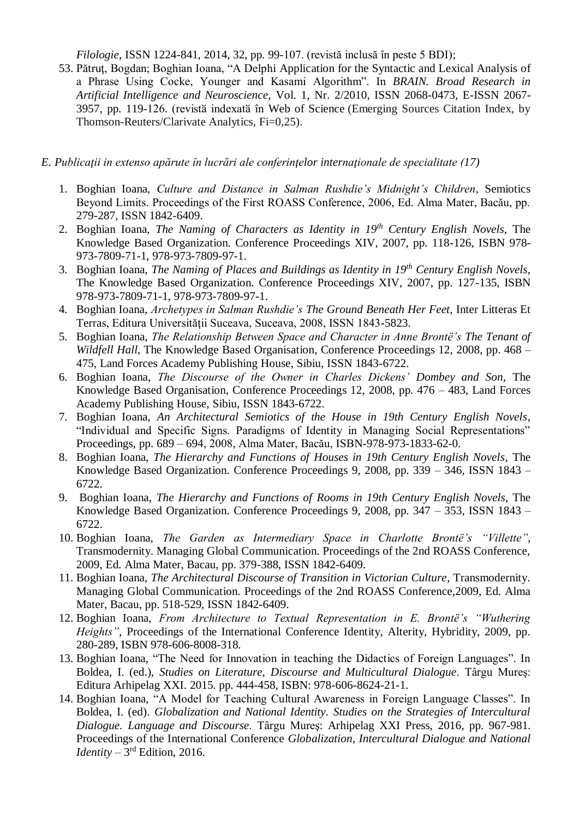*Filologie*, ISSN 1224-841, 2014, 32, pp. 99-107. (revistă inclusă în peste 5 BDI);

53. Pătruţ, Bogdan; Boghian Ioana, "A Delphi Application for the Syntactic and Lexical Analysis of a Phrase Using Cocke, Younger and Kasami Algorithm". In *BRAIN. Broad Research in Artificial Intelligence and Neuroscience*, Vol. 1, Nr. 2/2010, ISSN 2068-0473, E-ISSN 2067- 3957, pp. 119-126. (revistă indexată în [Web of Science](http://science.thomsonreuters.com/cgi-bin/jrnlst/jlresults.cgi?PC=MASTER&ISSN=2067-3957) (Emerging Sources Citation Index, by Thomson-Reuters/Clarivate Analytics, Fi=0,25).

## *E. Publicaţii in extenso apărute în lucrări ale conferinţelor internaţionale de specialitate (17)*

- 1. Boghian Ioana, *Culture and Distance in Salman Rushdie's Midnight's Children*, Semiotics Beyond Limits. Proceedings of the First ROASS Conference, 2006, Ed. Alma Mater, Bacău, pp. 279-287, ISSN 1842-6409.
- 2. Boghian Ioana, *The Naming of Characters as Identity in 19th Century English Novels*, The Knowledge Based Organization. Conference Proceedings XIV, 2007, pp. 118-126, ISBN 978- 973-7809-71-1, 978-973-7809-97-1.
- 3. Boghian Ioana, *The Naming of Places and Buildings as Identity in 19th Century English Novels*, The Knowledge Based Organization. Conference Proceedings XIV, 2007, pp. 127-135, ISBN 978-973-7809-71-1, 978-973-7809-97-1.
- 4. Boghian Ioana, *Archetypes in Salman Rushdie's The Ground Beneath Her Feet*, Inter Litteras Et Terras, Editura Universităţii Suceava, Suceava, 2008, ISSN 1843-5823.
- 5. Boghian Ioana, *The Relationship Between Space and Character in Anne Brontë's The Tenant of Wildfell Hall*, The Knowledge Based Organisation, Conference Proceedings 12, 2008, pp. 468 – 475, Land Forces Academy Publishing House, Sibiu, ISSN 1843-6722.
- 6. Boghian Ioana, *The Discourse of the Owner in Charles Dickens' Dombey and Son*, The Knowledge Based Organisation, Conference Proceedings 12, 2008, pp. 476 – 483, Land Forces Academy Publishing House, Sibiu, ISSN 1843-6722.
- 7. Boghian Ioana, *An Architectural Semiotics of the House in 19th Century English Novels*, "Individual and Specific Signs. Paradigms of Identity in Managing Social Representations" Proceedings, pp. 689 – 694, 2008, Alma Mater, Bacău, ISBN-978-973-1833-62-0.
- 8. Boghian Ioana, *The Hierarchy and Functions of Houses in 19th Century English Novels*, The Knowledge Based Organization. Conference Proceedings 9, 2008, pp. 339 – 346, ISSN 1843 – 6722.
- 9. Boghian Ioana, *The Hierarchy and Functions of Rooms in 19th Century English Novels*, The Knowledge Based Organization. Conference Proceedings 9, 2008, pp. 347 – 353, ISSN 1843 – 6722.
- 10. Boghian Ioana, *The Garden as Intermediary Space in Charlotte Brontë's "Villette"*, Transmodernity. Managing Global Communication. Proceedings of the 2nd ROASS Conference, 2009, Ed. Alma Mater, Bacau, pp. 379-388, ISSN 1842-6409.
- 11. Boghian Ioana, *The Architectural Discourse of Transition in Victorian Culture*, Transmodernity. Managing Global Communication. Proceedings of the 2nd ROASS Conference,2009, Ed. Alma Mater, Bacau, pp. 518-529, ISSN 1842-6409.
- 12. Boghian Ioana, *From Architecture to Textual Representation in E. Brontë's "Wuthering Heights"*, Proceedings of the International Conference Identity, Alterity, Hybridity, 2009, pp. 280-289, ISBN 978-606-8008-318.
- 13. Boghian Ioana, "The Need for Innovation in teaching the Didactics of Foreign Languages". In Boldea, I. (ed.), *Studies on Literature, Discourse and Multicultural Dialogue*. Târgu Mureş: Editura Arhipelag XXI. 2015. pp. 444-458, ISBN: 978-606-8624-21-1.
- 14. Boghian Ioana, "A Model for Teaching Cultural Awareness in Foreign Language Classes". In Boldea, I. (ed). *Globalization and National Identity. Studies on the Strategies of Intercultural Dialogue. Language and Discourse*. Târgu Mureş: Arhipelag XXI Press, 2016, pp. 967-981. Proceedings of the International Conference *Globalization, Intercultural Dialogue and National Identity* –  $3<sup>rd</sup>$  Edition, 2016.